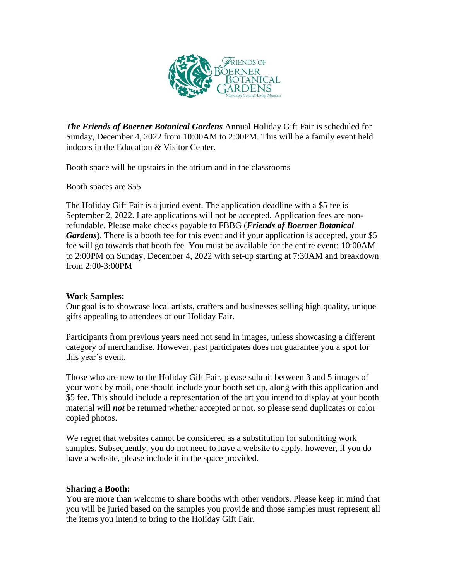

*The Friends of Boerner Botanical Gardens* Annual Holiday Gift Fair is scheduled for Sunday, December 4, 2022 from 10:00AM to 2:00PM. This will be a family event held indoors in the Education & Visitor Center.

Booth space will be upstairs in the atrium and in the classrooms

Booth spaces are \$55

The Holiday Gift Fair is a juried event. The application deadline with a \$5 fee is September 2, 2022. Late applications will not be accepted. Application fees are nonrefundable. Please make checks payable to FBBG (*Friends of Boerner Botanical* Gardens). There is a booth fee for this event and if your application is accepted, your \$5 fee will go towards that booth fee. You must be available for the entire event: 10:00AM to 2:00PM on Sunday, December 4, 2022 with set-up starting at 7:30AM and breakdown from 2:00-3:00PM

# **Work Samples:**

Our goal is to showcase local artists, crafters and businesses selling high quality, unique gifts appealing to attendees of our Holiday Fair.

Participants from previous years need not send in images, unless showcasing a different category of merchandise. However, past participates does not guarantee you a spot for this year's event.

Those who are new to the Holiday Gift Fair, please submit between 3 and 5 images of your work by mail, one should include your booth set up, along with this application and \$5 fee. This should include a representation of the art you intend to display at your booth material will *not* be returned whether accepted or not, so please send duplicates or color copied photos.

We regret that websites cannot be considered as a substitution for submitting work samples. Subsequently, you do not need to have a website to apply, however, if you do have a website, please include it in the space provided.

# **Sharing a Booth:**

You are more than welcome to share booths with other vendors. Please keep in mind that you will be juried based on the samples you provide and those samples must represent all the items you intend to bring to the Holiday Gift Fair.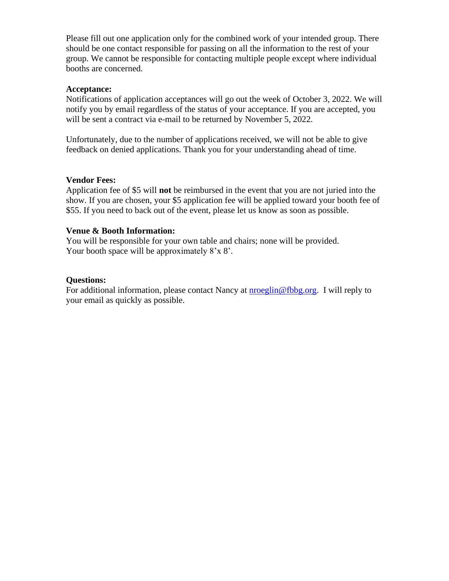Please fill out one application only for the combined work of your intended group. There should be one contact responsible for passing on all the information to the rest of your group. We cannot be responsible for contacting multiple people except where individual booths are concerned.

#### **Acceptance:**

Notifications of application acceptances will go out the week of October 3, 2022. We will notify you by email regardless of the status of your acceptance. If you are accepted, you will be sent a contract via e-mail to be returned by November 5, 2022.

Unfortunately, due to the number of applications received, we will not be able to give feedback on denied applications. Thank you for your understanding ahead of time.

## **Vendor Fees:**

Application fee of \$5 will **not** be reimbursed in the event that you are not juried into the show. If you are chosen, your \$5 application fee will be applied toward your booth fee of \$55. If you need to back out of the event, please let us know as soon as possible.

## **Venue & Booth Information:**

You will be responsible for your own table and chairs; none will be provided. Your booth space will be approximately  $8'x 8'$ .

#### **Questions:**

For additional information, please contact Nancy at **[nroeglin@fbbg.org.](mailto:nroeglin@fbbg.org)** I will reply to your email as quickly as possible.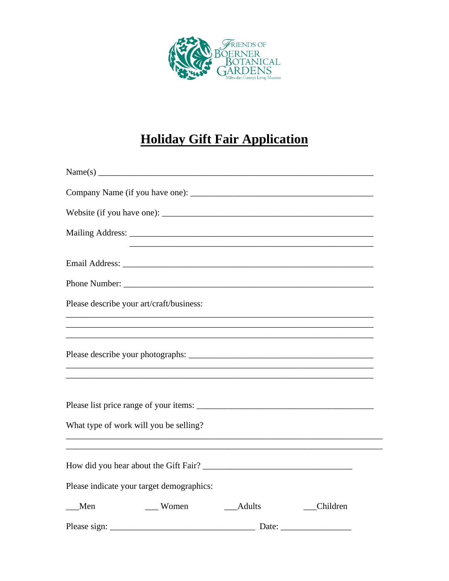

# **Holiday Gift Fair Application**

|     | Please describe your art/craft/business:  |          |          |
|-----|-------------------------------------------|----------|----------|
|     |                                           |          |          |
|     |                                           |          |          |
|     | What type of work will you be selling?    |          |          |
|     |                                           |          |          |
|     | Please indicate your target demographics: |          |          |
| Men | $\sqrt{ }$ Women                          | __Adults | Children |
|     |                                           |          |          |